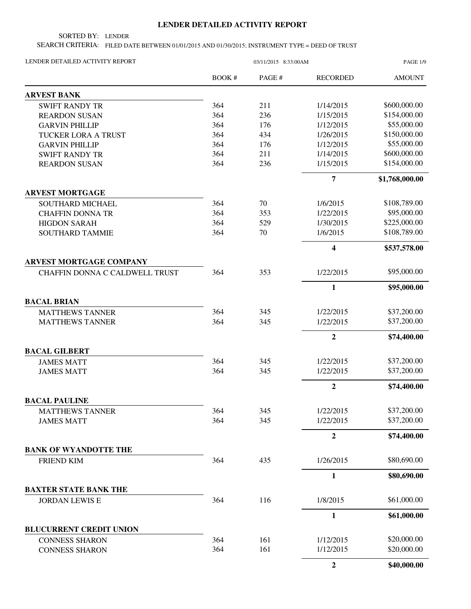## **LENDER DETAILED ACTIVITY REPORT**

SORTED BY: LENDER

SEARCH CRITERIA: FILED DATE BETWEEN 01/01/2015 AND 01/30/2015; INSTRUMENT TYPE = DEED OF TRUST

| LENDER DETAILED ACTIVITY REPORT       |        | 03/11/2015 8:33:00 AM |                         | <b>PAGE 1/9</b> |  |
|---------------------------------------|--------|-----------------------|-------------------------|-----------------|--|
|                                       | BOOK # | PAGE #                | <b>RECORDED</b>         | <b>AMOUNT</b>   |  |
| <b>ARVEST BANK</b>                    |        |                       |                         |                 |  |
| <b>SWIFT RANDY TR</b>                 | 364    | 211                   | 1/14/2015               | \$600,000.00    |  |
| <b>REARDON SUSAN</b>                  | 364    | 236                   | 1/15/2015               | \$154,000.00    |  |
| <b>GARVIN PHILLIP</b>                 | 364    | 176                   | 1/12/2015               | \$55,000.00     |  |
| TUCKER LORA A TRUST                   | 364    | 434                   | 1/26/2015               | \$150,000.00    |  |
| <b>GARVIN PHILLIP</b>                 | 364    | 176                   | 1/12/2015               | \$55,000.00     |  |
| <b>SWIFT RANDY TR</b>                 | 364    | 211                   | 1/14/2015               | \$600,000.00    |  |
| <b>REARDON SUSAN</b>                  | 364    | 236                   | 1/15/2015               | \$154,000.00    |  |
|                                       |        |                       | $\overline{7}$          | \$1,768,000.00  |  |
| <b>ARVEST MORTGAGE</b>                |        |                       |                         |                 |  |
| SOUTHARD MICHAEL                      | 364    | 70                    | 1/6/2015                | \$108,789.00    |  |
| <b>CHAFFIN DONNA TR</b>               | 364    | 353                   | 1/22/2015               | \$95,000.00     |  |
| <b>HIGDON SARAH</b>                   | 364    | 529                   | 1/30/2015               | \$225,000.00    |  |
| <b>SOUTHARD TAMMIE</b>                | 364    | 70                    | 1/6/2015                | \$108,789.00    |  |
|                                       |        |                       | $\overline{\mathbf{4}}$ | \$537,578.00    |  |
| <b>ARVEST MORTGAGE COMPANY</b>        |        | 353                   |                         | \$95,000.00     |  |
| <b>CHAFFIN DONNA C CALDWELL TRUST</b> | 364    |                       | 1/22/2015               |                 |  |
|                                       |        |                       | $\mathbf{1}$            | \$95,000.00     |  |
| <b>BACAL BRIAN</b>                    |        |                       |                         |                 |  |
| <b>MATTHEWS TANNER</b>                | 364    | 345                   | 1/22/2015               | \$37,200.00     |  |
| <b>MATTHEWS TANNER</b>                | 364    | 345                   | 1/22/2015               | \$37,200.00     |  |
|                                       |        |                       | $\boldsymbol{2}$        | \$74,400.00     |  |
| <b>BACAL GILBERT</b>                  |        |                       |                         |                 |  |
| <b>JAMES MATT</b>                     | 364    | 345                   | 1/22/2015               | \$37,200.00     |  |
| <b>JAMES MATT</b>                     | 364    | 345                   | 1/22/2015               | \$37,200.00     |  |
|                                       |        |                       | $\boldsymbol{2}$        | \$74,400.00     |  |
| <b>BACAL PAULINE</b>                  |        |                       |                         |                 |  |
| <b>MATTHEWS TANNER</b>                | 364    | 345                   | 1/22/2015               | \$37,200.00     |  |
| <b>JAMES MATT</b>                     | 364    | 345                   | 1/22/2015               | \$37,200.00     |  |
|                                       |        |                       | $\boldsymbol{2}$        | \$74,400.00     |  |
| <b>BANK OF WYANDOTTE THE</b>          |        |                       |                         |                 |  |
| FRIEND KIM                            | 364    | 435                   | 1/26/2015               | \$80,690.00     |  |
|                                       |        |                       | $\mathbf{1}$            | \$80,690.00     |  |
| <b>BAXTER STATE BANK THE</b>          |        |                       |                         |                 |  |
| <b>JORDAN LEWIS E</b>                 | 364    | 116                   | 1/8/2015                | \$61,000.00     |  |
|                                       |        |                       | $\mathbf{1}$            | \$61,000.00     |  |
| <b>BLUCURRENT CREDIT UNION</b>        |        |                       |                         |                 |  |
| <b>CONNESS SHARON</b>                 | 364    | 161                   | 1/12/2015               | \$20,000.00     |  |
| <b>CONNESS SHARON</b>                 | 364    | 161                   | 1/12/2015               | \$20,000.00     |  |
|                                       |        |                       | $\overline{2}$          | \$40,000.00     |  |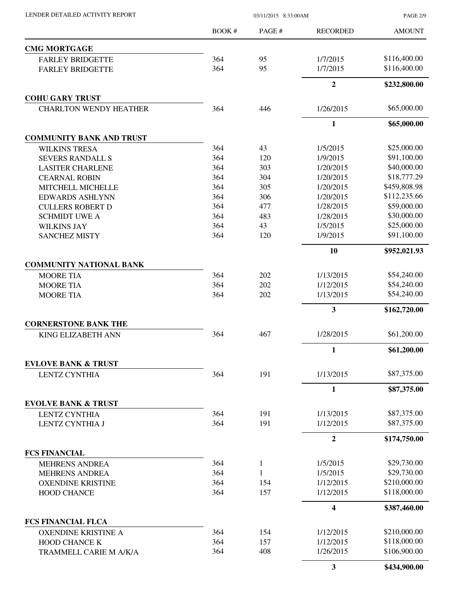PAGE 2/9

|                                 | <b>BOOK#</b> | PAGE #       | <b>RECORDED</b> | <b>AMOUNT</b> |
|---------------------------------|--------------|--------------|-----------------|---------------|
| <b>CMG MORTGAGE</b>             |              |              |                 |               |
| <b>FARLEY BRIDGETTE</b>         | 364          | 95           | 1/7/2015        | \$116,400.00  |
| <b>FARLEY BRIDGETTE</b>         | 364          | 95           | 1/7/2015        | \$116,400.00  |
|                                 |              |              | $\overline{2}$  | \$232,800.00  |
| <b>COHU GARY TRUST</b>          |              |              |                 |               |
| <b>CHARLTON WENDY HEATHER</b>   | 364          | 446          | 1/26/2015       | \$65,000.00   |
|                                 |              |              | 1               | \$65,000.00   |
| <b>COMMUNITY BANK AND TRUST</b> |              |              |                 |               |
| <b>WILKINS TRESA</b>            | 364          | 43           | 1/5/2015        | \$25,000.00   |
| SEVERS RANDALL S                | 364          | 120          | 1/9/2015        | \$91,100.00   |
| <b>LASITER CHARLENE</b>         | 364          | 303          | 1/20/2015       | \$40,000.00   |
| <b>CEARNAL ROBIN</b>            | 364          | 304          | 1/20/2015       | \$18,777.29   |
| MITCHELL MICHELLE               | 364          | 305          | 1/20/2015       | \$459,808.98  |
| <b>EDWARDS ASHLYNN</b>          | 364          | 306          | 1/20/2015       | \$112,235.66  |
| <b>CULLERS ROBERT D</b>         | 364          | 477          | 1/28/2015       | \$59,000.00   |
| <b>SCHMIDT UWE A</b>            | 364          | 483          | 1/28/2015       | \$30,000.00   |
| <b>WILKINS JAY</b>              | 364          | 43           | 1/5/2015        | \$25,000.00   |
| <b>SANCHEZ MISTY</b>            | 364          | 120          | 1/9/2015        | \$91,100.00   |
|                                 |              |              | 10              | \$952,021.93  |
| <b>COMMUNITY NATIONAL BANK</b>  |              |              |                 |               |
| <b>MOORE TIA</b>                | 364          | 202          | 1/13/2015       | \$54,240.00   |
| <b>MOORE TIA</b>                | 364          | 202          | 1/12/2015       | \$54,240.00   |
| <b>MOORE TIA</b>                | 364          | 202          | 1/13/2015       | \$54,240.00   |
|                                 |              |              | 3               | \$162,720.00  |
| <b>CORNERSTONE BANK THE</b>     |              |              |                 |               |
| <b>KING ELIZABETH ANN</b>       | 364          | 467          | 1/28/2015       | \$61,200.00   |
|                                 |              |              | $\mathbf{1}$    | \$61,200.00   |
| <b>EVLOVE BANK &amp; TRUST</b>  |              |              |                 |               |
| <b>LENTZ CYNTHIA</b>            | 364          | 191          | 1/13/2015       | \$87,375.00   |
|                                 |              |              | $\mathbf{1}$    | \$87,375.00   |
| <b>EVOLVE BANK &amp; TRUST</b>  |              |              |                 |               |
| LENTZ CYNTHIA                   | 364          | 191          | 1/13/2015       | \$87,375.00   |
| LENTZ CYNTHIA J                 | 364          | 191          | 1/12/2015       | \$87,375.00   |
|                                 |              |              | $\overline{2}$  | \$174,750.00  |
| <b>FCS FINANCIAL</b>            |              |              |                 |               |
| <b>MEHRENS ANDREA</b>           | 364          | $\mathbf{1}$ | 1/5/2015        | \$29,730.00   |
| <b>MEHRENS ANDREA</b>           | 364          | 1            | 1/5/2015        | \$29,730.00   |
| <b>OXENDINE KRISTINE</b>        | 364          | 154          | 1/12/2015       | \$210,000.00  |
| <b>HOOD CHANCE</b>              | 364          | 157          | 1/12/2015       | \$118,000.00  |
|                                 |              |              | 4               | \$387,460.00  |
| <b>FCS FINANCIAL FLCA</b>       |              |              |                 |               |
| <b>OXENDINE KRISTINE A</b>      | 364          | 154          | 1/12/2015       | \$210,000.00  |
| HOOD CHANCE K                   | 364          | 157          | 1/12/2015       | \$118,000.00  |
| TRAMMELL CARIE M A/K/A          | 364          | 408          | 1/26/2015       | \$106,900.00  |
|                                 |              |              | $\mathbf{3}$    | \$434,900.00  |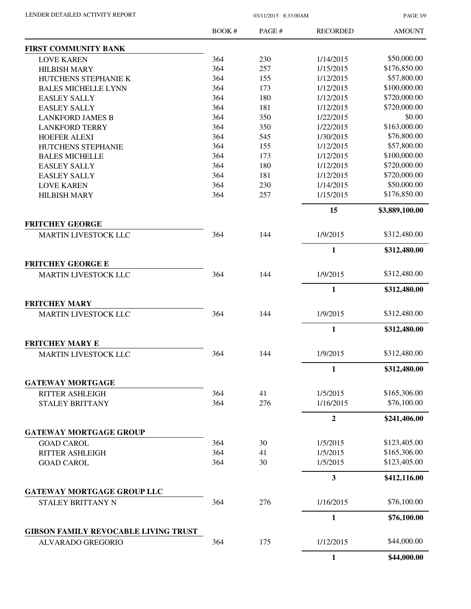PAGE 3/9

|                                             | BOOK# | PAGE# | <b>RECORDED</b> | <b>AMOUNT</b>  |
|---------------------------------------------|-------|-------|-----------------|----------------|
| <b>FIRST COMMUNITY BANK</b>                 |       |       |                 |                |
| <b>LOVE KAREN</b>                           | 364   | 230   | 1/14/2015       | \$50,000.00    |
| <b>HILBISH MARY</b>                         | 364   | 257   | 1/15/2015       | \$176,850.00   |
| HUTCHENS STEPHANIE K                        | 364   | 155   | 1/12/2015       | \$57,800.00    |
| <b>BALES MICHELLE LYNN</b>                  | 364   | 173   | 1/12/2015       | \$100,000.00   |
| <b>EASLEY SALLY</b>                         | 364   | 180   | 1/12/2015       | \$720,000.00   |
| <b>EASLEY SALLY</b>                         | 364   | 181   | 1/12/2015       | \$720,000.00   |
| <b>LANKFORD JAMES B</b>                     | 364   | 350   | 1/22/2015       | \$0.00         |
| <b>LANKFORD TERRY</b>                       | 364   | 350   | 1/22/2015       | \$163,000.00   |
| <b>HOEFER ALEXI</b>                         | 364   | 545   | 1/30/2015       | \$76,800.00    |
| HUTCHENS STEPHANIE                          | 364   | 155   | 1/12/2015       | \$57,800.00    |
| <b>BALES MICHELLE</b>                       | 364   | 173   | 1/12/2015       | \$100,000.00   |
| <b>EASLEY SALLY</b>                         | 364   | 180   | 1/12/2015       | \$720,000.00   |
| <b>EASLEY SALLY</b>                         | 364   | 181   | 1/12/2015       | \$720,000.00   |
| <b>LOVE KAREN</b>                           | 364   | 230   | 1/14/2015       | \$50,000.00    |
| <b>HILBISH MARY</b>                         | 364   | 257   | 1/15/2015       | \$176,850.00   |
|                                             |       |       | 15              | \$3,889,100.00 |
| <b>FRITCHEY GEORGE</b>                      | 364   | 144   | 1/9/2015        | \$312,480.00   |
| <b>MARTIN LIVESTOCK LLC</b>                 |       |       |                 |                |
|                                             |       |       | $\mathbf{1}$    | \$312,480.00   |
| <b>FRITCHEY GEORGE E</b>                    |       |       |                 |                |
| <b>MARTIN LIVESTOCK LLC</b>                 | 364   | 144   | 1/9/2015        | \$312,480.00   |
|                                             |       |       | $\mathbf{1}$    | \$312,480.00   |
| <b>FRITCHEY MARY</b>                        |       |       |                 |                |
| <b>MARTIN LIVESTOCK LLC</b>                 | 364   | 144   | 1/9/2015        | \$312,480.00   |
|                                             |       |       | 1               | \$312,480.00   |
| <b>FRITCHEY MARY E</b>                      |       |       |                 |                |
| <b>MARTIN LIVESTOCK LLC</b>                 | 364   | 144   | 1/9/2015        | \$312,480.00   |
|                                             |       |       | $\mathbf{1}$    | \$312,480.00   |
| <b>GATEWAY MORTGAGE</b>                     |       |       |                 |                |
| <b>RITTER ASHLEIGH</b>                      | 364   | 41    | 1/5/2015        | \$165,306.00   |
| <b>STALEY BRITTANY</b>                      | 364   | 276   | 1/16/2015       | \$76,100.00    |
|                                             |       |       | $\mathbf{2}$    | \$241,406.00   |
| <b>GATEWAY MORTGAGE GROUP</b>               |       |       |                 |                |
| <b>GOAD CAROL</b>                           | 364   | 30    | 1/5/2015        | \$123,405.00   |
| <b>RITTER ASHLEIGH</b>                      | 364   | 41    | 1/5/2015        | \$165,306.00   |
| <b>GOAD CAROL</b>                           | 364   | 30    | 1/5/2015        | \$123,405.00   |
|                                             |       |       | 3               | \$412,116.00   |
| <b>GATEWAY MORTGAGE GROUP LLC</b>           |       |       |                 |                |
| STALEY BRITTANY N                           | 364   | 276   | 1/16/2015       | \$76,100.00    |
|                                             |       |       | $\mathbf{1}$    | \$76,100.00    |
| <b>GIBSON FAMILY REVOCABLE LIVING TRUST</b> |       |       |                 |                |
| ALVARADO GREGORIO                           | 364   | 175   | 1/12/2015       | \$44,000.00    |
|                                             |       |       | 1               | \$44,000.00    |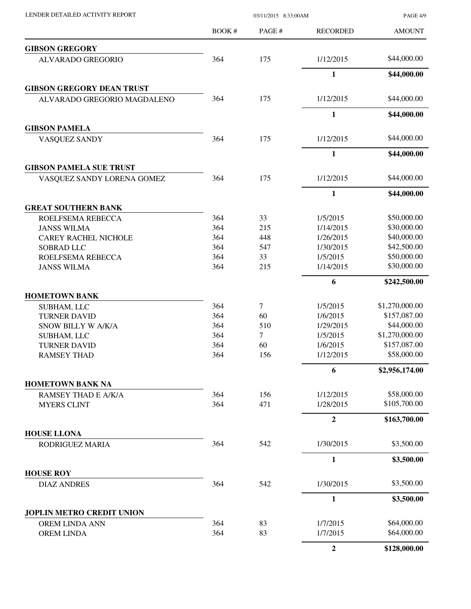| LENDER DETAILED ACTIVITY REPORT                    |              | PAGE 4/9 |                       |                               |
|----------------------------------------------------|--------------|----------|-----------------------|-------------------------------|
|                                                    | <b>BOOK#</b> | PAGE #   | <b>RECORDED</b>       | <b>AMOUNT</b>                 |
| <b>GIBSON GREGORY</b>                              |              |          |                       |                               |
| ALVARADO GREGORIO                                  | 364          | 175      | 1/12/2015             | \$44,000.00                   |
|                                                    |              |          | $\mathbf{1}$          | \$44,000.00                   |
| <b>GIBSON GREGORY DEAN TRUST</b>                   |              |          |                       |                               |
| ALVARADO GREGORIO MAGDALENO                        | 364          | 175      | 1/12/2015             | \$44,000.00                   |
|                                                    |              |          | $\mathbf{1}$          | \$44,000.00                   |
| <b>GIBSON PAMELA</b>                               |              |          |                       |                               |
| VASQUEZ SANDY                                      | 364          | 175      | 1/12/2015             | \$44,000.00                   |
|                                                    |              |          | 1                     | \$44,000.00                   |
| <b>GIBSON PAMELA SUE TRUST</b>                     |              |          |                       |                               |
| VASQUEZ SANDY LORENA GOMEZ                         | 364          | 175      | 1/12/2015             | \$44,000.00                   |
|                                                    |              |          | $\mathbf{1}$          | \$44,000.00                   |
| <b>GREAT SOUTHERN BANK</b>                         |              |          |                       |                               |
| ROELFSEMA REBECCA                                  | 364          | 33       | 1/5/2015              | \$50,000.00                   |
| <b>JANSS WILMA</b>                                 | 364          | 215      | 1/14/2015             | \$30,000.00                   |
| <b>CAREY RACHEL NICHOLE</b>                        | 364          | 448      | 1/26/2015             | \$40,000.00                   |
| <b>SOBRAD LLC</b>                                  | 364          | 547      | 1/30/2015             | \$42,500.00                   |
| ROELFSEMA REBECCA                                  | 364          | 33       | 1/5/2015              | \$50,000.00                   |
| <b>JANSS WILMA</b>                                 | 364          | 215      | 1/14/2015             | \$30,000.00                   |
|                                                    |              |          | 6                     | \$242,500.00                  |
| <b>HOMETOWN BANK</b>                               |              |          |                       |                               |
| SUBHAM, LLC                                        | 364          | 7        | 1/5/2015              | \$1,270,000.00                |
| <b>TURNER DAVID</b>                                | 364          | 60       | 1/6/2015              | \$157,087.00                  |
| SNOW BILLY W A/K/A                                 | 364<br>364   | 510<br>7 | 1/29/2015<br>1/5/2015 | \$44,000.00<br>\$1,270,000.00 |
| SUBHAM, LLC                                        | 364          | 60       | 1/6/2015              | \$157,087.00                  |
| <b>TURNER DAVID</b><br><b>RAMSEY THAD</b>          | 364          | 156      | 1/12/2015             | \$58,000.00                   |
|                                                    |              |          |                       |                               |
| <b>HOMETOWN BANK NA</b>                            |              |          | 6                     | \$2,956,174.00                |
| RAMSEY THAD E A/K/A                                | 364          | 156      | 1/12/2015             | \$58,000.00                   |
| <b>MYERS CLINT</b>                                 | 364          | 471      | 1/28/2015             | \$105,700.00                  |
|                                                    |              |          | $\mathbf{2}$          | \$163,700.00                  |
| <b>HOUSE LLONA</b>                                 |              |          |                       |                               |
| RODRIGUEZ MARIA                                    | 364          | 542      | 1/30/2015             | \$3,500.00                    |
|                                                    |              |          | 1                     | \$3,500.00                    |
| <b>HOUSE ROY</b><br><b>DIAZ ANDRES</b>             | 364          | 542      | 1/30/2015             | \$3,500.00                    |
|                                                    |              |          |                       |                               |
|                                                    |              |          | 1                     | \$3,500.00                    |
| JOPLIN METRO CREDIT UNION<br><b>OREM LINDA ANN</b> | 364          | 83       | 1/7/2015              | \$64,000.00                   |
| OREM LINDA                                         | 364          | 83       | 1/7/2015              | \$64,000.00                   |
|                                                    |              |          | $\boldsymbol{2}$      | \$128,000.00                  |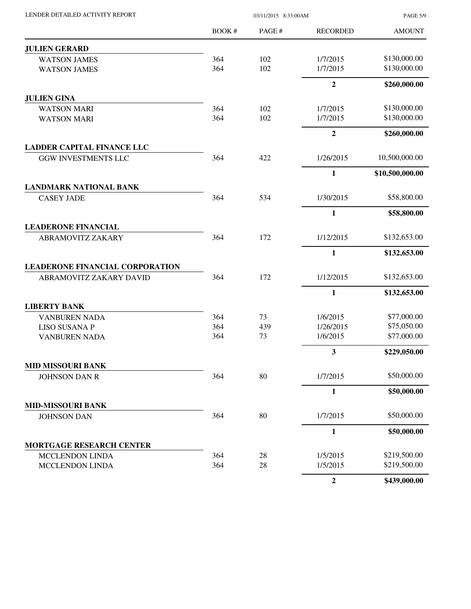| LENDER DETAILED ACTIVITY REPORT        |       | 03/11/2015 8:33:00AM |                  | <b>PAGE 5/9</b> |  |
|----------------------------------------|-------|----------------------|------------------|-----------------|--|
|                                        | BOOK# | PAGE #               | <b>RECORDED</b>  | <b>AMOUNT</b>   |  |
| <b>JULIEN GERARD</b>                   |       |                      |                  |                 |  |
| <b>WATSON JAMES</b>                    | 364   | 102                  | 1/7/2015         | \$130,000.00    |  |
| <b>WATSON JAMES</b>                    | 364   | 102                  | 1/7/2015         | \$130,000.00    |  |
|                                        |       |                      | $\overline{2}$   | \$260,000.00    |  |
| <b>JULIEN GINA</b>                     |       |                      |                  |                 |  |
| <b>WATSON MARI</b>                     | 364   | 102                  | 1/7/2015         | \$130,000.00    |  |
| <b>WATSON MARI</b>                     | 364   | 102                  | 1/7/2015         | \$130,000.00    |  |
|                                        |       |                      | $\overline{2}$   | \$260,000.00    |  |
| <b>LADDER CAPITAL FINANCE LLC</b>      |       |                      |                  |                 |  |
| <b>GGW INVESTMENTS LLC</b>             | 364   | 422                  | 1/26/2015        | 10,500,000.00   |  |
|                                        |       |                      | $\mathbf{1}$     | \$10,500,000.00 |  |
| <b>LANDMARK NATIONAL BANK</b>          |       |                      | 1/30/2015        | \$58,800.00     |  |
| <b>CASEY JADE</b>                      | 364   | 534                  |                  |                 |  |
|                                        |       |                      | $\mathbf{1}$     | \$58,800.00     |  |
| <b>LEADERONE FINANCIAL</b>             | 364   | 172                  | 1/12/2015        | \$132,653.00    |  |
| ABRAMOVITZ ZAKARY                      |       |                      |                  |                 |  |
| <b>LEADERONE FINANCIAL CORPORATION</b> |       |                      | $\mathbf{1}$     | \$132,653.00    |  |
| ABRAMOVITZ ZAKARY DAVID                | 364   | 172                  | 1/12/2015        | \$132,653.00    |  |
|                                        |       |                      |                  |                 |  |
| <b>LIBERTY BANK</b>                    |       |                      | 1                | \$132,653.00    |  |
| <b>VANBUREN NADA</b>                   | 364   | 73                   | 1/6/2015         | \$77,000.00     |  |
| <b>LISO SUSANA P</b>                   | 364   | 439                  | 1/26/2015        | \$75,050.00     |  |
| <b>VANBUREN NADA</b>                   | 364   | 73                   | 1/6/2015         | \$77,000.00     |  |
|                                        |       |                      | 3                | \$229,050.00    |  |
| <b>MID MISSOURI BANK</b>               |       |                      |                  |                 |  |
| <b>JOHNSON DAN R</b>                   | 364   | 80                   | 1/7/2015         | \$50,000.00     |  |
|                                        |       |                      | $\mathbf{1}$     | \$50,000.00     |  |
| <b>MID-MISSOURI BANK</b>               |       |                      |                  |                 |  |
| <b>JOHNSON DAN</b>                     | 364   | 80                   | 1/7/2015         | \$50,000.00     |  |
|                                        |       |                      | $\mathbf{1}$     | \$50,000.00     |  |
| <b>MORTGAGE RESEARCH CENTER</b>        |       |                      |                  |                 |  |
| MCCLENDON LINDA                        | 364   | 28                   | 1/5/2015         | \$219,500.00    |  |
| MCCLENDON LINDA                        | 364   | 28                   | 1/5/2015         | \$219,500.00    |  |
|                                        |       |                      | $\boldsymbol{2}$ | \$439,000.00    |  |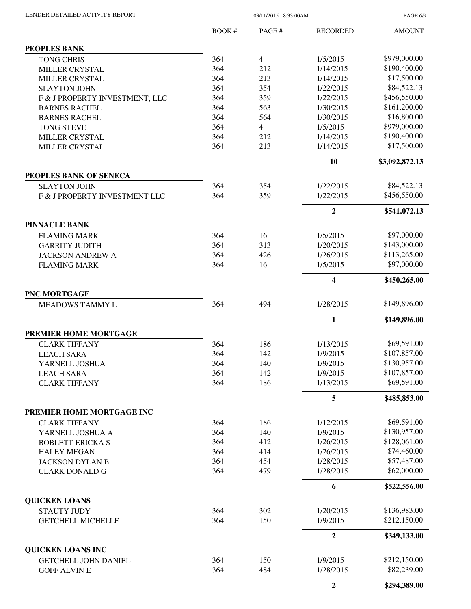LENDER DETAILED ACTIVITY REPORT 03/11/2015 8:33:00AM

PAGE 6/9

|                                | <b>BOOK#</b> | PAGE#          | <b>RECORDED</b>                                                                                                                                                                                                                                                                                                                                                        | <b>AMOUNT</b>  |
|--------------------------------|--------------|----------------|------------------------------------------------------------------------------------------------------------------------------------------------------------------------------------------------------------------------------------------------------------------------------------------------------------------------------------------------------------------------|----------------|
| <b>PEOPLES BANK</b>            |              |                |                                                                                                                                                                                                                                                                                                                                                                        |                |
| <b>TONG CHRIS</b>              | 364          | $\overline{4}$ | 1/5/2015                                                                                                                                                                                                                                                                                                                                                               | \$979,000.00   |
| MILLER CRYSTAL                 | 364          | 212            | 1/14/2015                                                                                                                                                                                                                                                                                                                                                              | \$190,400.00   |
| MILLER CRYSTAL                 | 364          | 213            | 1/14/2015                                                                                                                                                                                                                                                                                                                                                              | \$17,500.00    |
| <b>SLAYTON JOHN</b>            | 364          | 354            |                                                                                                                                                                                                                                                                                                                                                                        | \$84,522.13    |
| F & J PROPERTY INVESTMENT, LLC | 364          | 359            |                                                                                                                                                                                                                                                                                                                                                                        | \$456,550.00   |
| <b>BARNES RACHEL</b>           | 364          | 563            |                                                                                                                                                                                                                                                                                                                                                                        | \$161,200.00   |
| <b>BARNES RACHEL</b>           | 364          | 564            |                                                                                                                                                                                                                                                                                                                                                                        | \$16,800.00    |
| <b>TONG STEVE</b>              | 364          | $\overline{4}$ |                                                                                                                                                                                                                                                                                                                                                                        | \$979,000.00   |
| MILLER CRYSTAL                 | 364          | 212            |                                                                                                                                                                                                                                                                                                                                                                        | \$190,400.00   |
| <b>MILLER CRYSTAL</b>          | 364          | 213            |                                                                                                                                                                                                                                                                                                                                                                        | \$17,500.00    |
|                                |              |                |                                                                                                                                                                                                                                                                                                                                                                        | \$3,092,872.13 |
| PEOPLES BANK OF SENECA         |              |                |                                                                                                                                                                                                                                                                                                                                                                        |                |
| <b>SLAYTON JOHN</b>            | 364          | 354            |                                                                                                                                                                                                                                                                                                                                                                        | \$84,522.13    |
| F & J PROPERTY INVESTMENT LLC  | 364          | 359            |                                                                                                                                                                                                                                                                                                                                                                        | \$456,550.00   |
|                                |              |                |                                                                                                                                                                                                                                                                                                                                                                        | \$541,072.13   |
| <b>PINNACLE BANK</b>           |              |                |                                                                                                                                                                                                                                                                                                                                                                        |                |
| <b>FLAMING MARK</b>            | 364          | 16             |                                                                                                                                                                                                                                                                                                                                                                        | \$97,000.00    |
| <b>GARRITY JUDITH</b>          | 364          | 313            |                                                                                                                                                                                                                                                                                                                                                                        | \$143,000.00   |
| <b>JACKSON ANDREW A</b>        | 364          | 426            |                                                                                                                                                                                                                                                                                                                                                                        | \$113,265.00   |
| <b>FLAMING MARK</b>            | 364          | 16             |                                                                                                                                                                                                                                                                                                                                                                        | \$97,000.00    |
|                                |              |                |                                                                                                                                                                                                                                                                                                                                                                        | \$450,265.00   |
| PNC MORTGAGE                   |              |                |                                                                                                                                                                                                                                                                                                                                                                        |                |
| MEADOWS TAMMY L                | 364          | 494            | 1/28/2015                                                                                                                                                                                                                                                                                                                                                              | \$149,896.00   |
|                                |              |                | $\mathbf{1}$                                                                                                                                                                                                                                                                                                                                                           | \$149,896.00   |
| PREMIER HOME MORTGAGE          |              |                |                                                                                                                                                                                                                                                                                                                                                                        |                |
| <b>CLARK TIFFANY</b>           | 364          | 186            | 1/13/2015                                                                                                                                                                                                                                                                                                                                                              | \$69,591.00    |
| <b>LEACH SARA</b>              | 364          | 142            | 1/9/2015                                                                                                                                                                                                                                                                                                                                                               | \$107,857.00   |
| YARNELL JOSHUA                 | 364          | 140            | 1/9/2015                                                                                                                                                                                                                                                                                                                                                               | \$130,957.00   |
| <b>LEACH SARA</b>              | 364          | 142            | 1/9/2015                                                                                                                                                                                                                                                                                                                                                               | \$107,857.00   |
| <b>CLARK TIFFANY</b>           | 364          | 186            | 1/22/2015<br>1/22/2015<br>1/30/2015<br>1/30/2015<br>1/5/2015<br>1/14/2015<br>1/14/2015<br>10<br>1/22/2015<br>1/22/2015<br>$\boldsymbol{2}$<br>1/5/2015<br>1/20/2015<br>1/26/2015<br>1/5/2015<br>$\overline{\mathbf{4}}$<br>1/13/2015<br>5<br>1/12/2015<br>1/9/2015<br>1/26/2015<br>1/26/2015<br>1/28/2015<br>1/28/2015<br>6<br>1/20/2015<br>1/9/2015<br>$\overline{2}$ | \$69,591.00    |
|                                |              |                |                                                                                                                                                                                                                                                                                                                                                                        | \$485,853.00   |
| PREMIER HOME MORTGAGE INC      |              |                |                                                                                                                                                                                                                                                                                                                                                                        |                |
| <b>CLARK TIFFANY</b>           | 364          | 186            |                                                                                                                                                                                                                                                                                                                                                                        | \$69,591.00    |
| YARNELL JOSHUA A               | 364          | 140            |                                                                                                                                                                                                                                                                                                                                                                        | \$130,957.00   |
| <b>BOBLETT ERICKA S</b>        | 364          | 412            |                                                                                                                                                                                                                                                                                                                                                                        | \$128,061.00   |
| <b>HALEY MEGAN</b>             | 364          | 414            |                                                                                                                                                                                                                                                                                                                                                                        | \$74,460.00    |
| <b>JACKSON DYLAN B</b>         | 364          | 454            |                                                                                                                                                                                                                                                                                                                                                                        | \$57,487.00    |
| <b>CLARK DONALD G</b>          | 364          | 479            |                                                                                                                                                                                                                                                                                                                                                                        | \$62,000.00    |
|                                |              |                |                                                                                                                                                                                                                                                                                                                                                                        | \$522,556.00   |
| <b>QUICKEN LOANS</b>           |              |                |                                                                                                                                                                                                                                                                                                                                                                        |                |
| <b>STAUTY JUDY</b>             | 364          | 302            |                                                                                                                                                                                                                                                                                                                                                                        | \$136,983.00   |
| <b>GETCHELL MICHELLE</b>       | 364          | 150            |                                                                                                                                                                                                                                                                                                                                                                        | \$212,150.00   |
|                                |              |                |                                                                                                                                                                                                                                                                                                                                                                        | \$349,133.00   |
| <b>QUICKEN LOANS INC</b>       |              |                |                                                                                                                                                                                                                                                                                                                                                                        |                |
| GETCHELL JOHN DANIEL           | 364          | 150            | 1/9/2015                                                                                                                                                                                                                                                                                                                                                               | \$212,150.00   |
| <b>GOFF ALVIN E</b>            | 364          | 484            | 1/28/2015                                                                                                                                                                                                                                                                                                                                                              | \$82,239.00    |
|                                |              |                | $\boldsymbol{2}$                                                                                                                                                                                                                                                                                                                                                       | \$294,389.00   |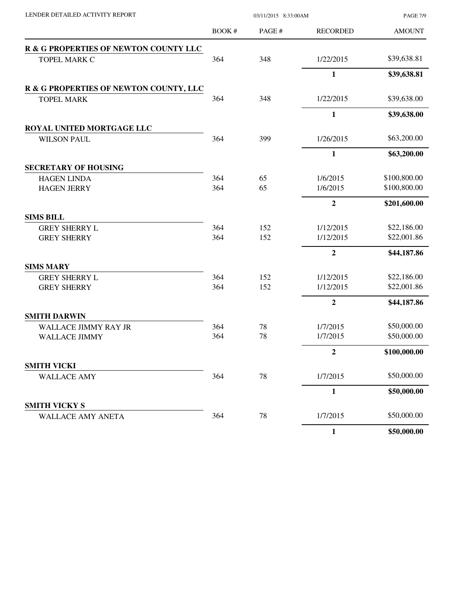PAGE 7/9

|                                        | BOOK # | PAGE # | <b>RECORDED</b>  | <b>AMOUNT</b> |
|----------------------------------------|--------|--------|------------------|---------------|
| R & G PROPERTIES OF NEWTON COUNTY LLC  |        |        |                  |               |
| TOPEL MARK C                           | 364    | 348    | 1/22/2015        | \$39,638.81   |
|                                        |        |        | $\mathbf{1}$     | \$39,638.81   |
| R & G PROPERTIES OF NEWTON COUNTY, LLC |        |        |                  |               |
| <b>TOPEL MARK</b>                      | 364    | 348    | 1/22/2015        | \$39,638.00   |
|                                        |        |        | $\mathbf{1}$     | \$39,638.00   |
| ROYAL UNITED MORTGAGE LLC              |        |        |                  |               |
| <b>WILSON PAUL</b>                     | 364    | 399    | 1/26/2015        | \$63,200.00   |
|                                        |        |        | $\mathbf{1}$     | \$63,200.00   |
| <b>SECRETARY OF HOUSING</b>            |        |        |                  |               |
| <b>HAGEN LINDA</b>                     | 364    | 65     | 1/6/2015         | \$100,800.00  |
| <b>HAGEN JERRY</b>                     | 364    | 65     | 1/6/2015         | \$100,800.00  |
|                                        |        |        | $\overline{2}$   | \$201,600.00  |
| <b>SIMS BILL</b>                       |        |        |                  |               |
| <b>GREY SHERRY L</b>                   | 364    | 152    | 1/12/2015        | \$22,186.00   |
| <b>GREY SHERRY</b>                     | 364    | 152    | 1/12/2015        | \$22,001.86   |
|                                        |        |        | $\overline{2}$   | \$44,187.86   |
| <b>SIMS MARY</b>                       |        |        |                  |               |
| <b>GREY SHERRY L</b>                   | 364    | 152    | 1/12/2015        | \$22,186.00   |
| <b>GREY SHERRY</b>                     | 364    | 152    | 1/12/2015        | \$22,001.86   |
|                                        |        |        | $\overline{2}$   | \$44,187.86   |
| <b>SMITH DARWIN</b>                    |        |        |                  |               |
| WALLACE JIMMY RAY JR                   | 364    | 78     | 1/7/2015         | \$50,000.00   |
| <b>WALLACE JIMMY</b>                   | 364    | 78     | 1/7/2015         | \$50,000.00   |
|                                        |        |        | $\boldsymbol{2}$ | \$100,000.00  |
| <b>SMITH VICKI</b>                     |        |        |                  |               |
| <b>WALLACE AMY</b>                     | 364    | 78     | 1/7/2015         | \$50,000.00   |
|                                        |        |        | $\mathbf{1}$     | \$50,000.00   |
| <b>SMITH VICKY S</b>                   |        |        |                  |               |
| WALLACE AMY ANETA                      | 364    | 78     | 1/7/2015         | \$50,000.00   |
|                                        |        |        | $\mathbf{1}$     | \$50,000.00   |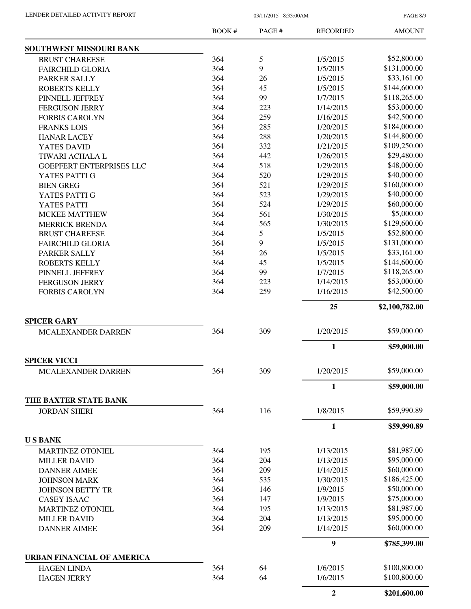PAGE 8/9

|                                          | <b>BOOK#</b> | PAGE# | <b>RECORDED</b>  | <b>AMOUNT</b>  |
|------------------------------------------|--------------|-------|------------------|----------------|
| SOUTHWEST MISSOURI BANK                  |              |       |                  |                |
| <b>BRUST CHAREESE</b>                    | 364          | 5     | 1/5/2015         | \$52,800.00    |
| <b>FAIRCHILD GLORIA</b>                  | 364          | 9     | 1/5/2015         | \$131,000.00   |
| PARKER SALLY                             | 364          | 26    | 1/5/2015         | \$33,161.00    |
| <b>ROBERTS KELLY</b>                     | 364          | 45    | 1/5/2015         | \$144,600.00   |
| PINNELL JEFFREY                          | 364          | 99    | 1/7/2015         | \$118,265.00   |
| <b>FERGUSON JERRY</b>                    | 364          | 223   | 1/14/2015        | \$53,000.00    |
| <b>FORBIS CAROLYN</b>                    | 364          | 259   | 1/16/2015        | \$42,500.00    |
| <b>FRANKS LOIS</b>                       | 364          | 285   | 1/20/2015        | \$184,000.00   |
| <b>HANAR LACEY</b>                       | 364          | 288   | 1/20/2015        | \$144,800.00   |
| YATES DAVID                              | 364          | 332   | 1/21/2015        | \$109,250.00   |
| TIWARI ACHALA L                          | 364          | 442   | 1/26/2015        | \$29,480.00    |
| <b>GOEPFERT ENTERPRISES LLC</b>          | 364          | 518   | 1/29/2015        | \$48,000.00    |
| YATES PATTI G                            | 364          | 520   | 1/29/2015        | \$40,000.00    |
| <b>BIEN GREG</b>                         | 364          | 521   | 1/29/2015        | \$160,000.00   |
| YATES PATTI G                            | 364          | 523   | 1/29/2015        | \$40,000.00    |
| YATES PATTI                              | 364          | 524   | 1/29/2015        | \$60,000.00    |
| <b>MCKEE MATTHEW</b>                     | 364          | 561   | 1/30/2015        | \$5,000.00     |
| <b>MERRICK BRENDA</b>                    | 364          | 565   | 1/30/2015        | \$129,600.00   |
| <b>BRUST CHAREESE</b>                    | 364          | 5     | 1/5/2015         | \$52,800.00    |
| <b>FAIRCHILD GLORIA</b>                  | 364          | 9     | 1/5/2015         | \$131,000.00   |
| PARKER SALLY                             | 364          | 26    | 1/5/2015         | \$33,161.00    |
| <b>ROBERTS KELLY</b>                     | 364          | 45    | 1/5/2015         | \$144,600.00   |
| PINNELL JEFFREY                          | 364          | 99    | 1/7/2015         | \$118,265.00   |
| <b>FERGUSON JERRY</b>                    | 364          | 223   | 1/14/2015        | \$53,000.00    |
| <b>FORBIS CAROLYN</b>                    | 364          | 259   | 1/16/2015        | \$42,500.00    |
|                                          |              |       |                  |                |
| <b>SPICER GARY</b>                       |              |       | 25               | \$2,100,782.00 |
| <b>MCALEXANDER DARREN</b>                | 364          | 309   | 1/20/2015        | \$59,000.00    |
|                                          |              |       | 1                | \$59,000.00    |
| <b>SPICER VICCI</b>                      |              |       |                  |                |
| MCALEXANDER DARREN                       | 364          | 309   | 1/20/2015        | \$59,000.00    |
|                                          |              |       | 1                | \$59,000.00    |
| THE BAXTER STATE BANK                    |              |       |                  | \$59,990.89    |
| <b>JORDAN SHERI</b>                      | 364          | 116   | 1/8/2015         |                |
|                                          |              |       | $\mathbf{1}$     | \$59,990.89    |
| <b>USBANK</b><br><b>MARTINEZ OTONIEL</b> | 364          | 195   | 1/13/2015        | \$81,987.00    |
| <b>MILLER DAVID</b>                      | 364          | 204   | 1/13/2015        | \$95,000.00    |
| <b>DANNER AIMEE</b>                      | 364          | 209   | 1/14/2015        | \$60,000.00    |
| <b>JOHNSON MARK</b>                      | 364          | 535   | 1/30/2015        | \$186,425.00   |
| <b>JOHNSON BETTY TR</b>                  | 364          | 146   | 1/9/2015         | \$50,000.00    |
| <b>CASEY ISAAC</b>                       | 364          | 147   | 1/9/2015         | \$75,000.00    |
|                                          | 364          | 195   | 1/13/2015        | \$81,987.00    |
| <b>MARTINEZ OTONIEL</b>                  | 364          | 204   | 1/13/2015        | \$95,000.00    |
| <b>MILLER DAVID</b>                      |              |       |                  | \$60,000.00    |
| <b>DANNER AIMEE</b>                      | 364          | 209   | 1/14/2015        |                |
|                                          |              |       | $\boldsymbol{9}$ | \$785,399.00   |
| <b>URBAN FINANCIAL OF AMERICA</b>        |              |       |                  |                |
| <b>HAGEN LINDA</b>                       | 364          | 64    | 1/6/2015         | \$100,800.00   |
| <b>HAGEN JERRY</b>                       | 364          | 64    | 1/6/2015         | \$100,800.00   |
|                                          |              |       | $\overline{2}$   | \$201,600.00   |